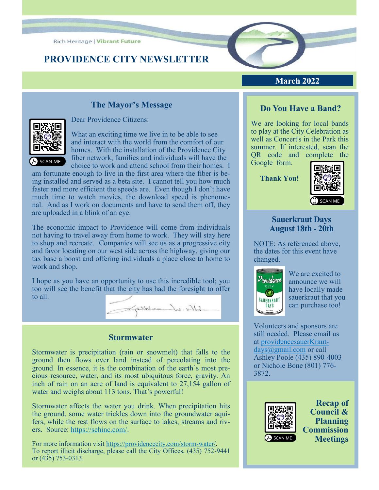**Rich Heritage | Vibrant Future** 

# **PROVIDENCE CITY NEWSLETTER**



### **March 2022**

## **The Mayor's Message**



Dear Providence Citizens:

 What an exciting time we live in to be able to see and interact with the world from the comfort of our homes. With the installation of the Providence City fiber network, families and individuals will have the choice to work and attend school from their homes. I

am fortunate enough to live in the first area where the fiber is being installed and served as a beta site. I cannot tell you how much faster and more efficient the speeds are. Even though I don't have much time to watch movies, the download speed is phenomenal. And as I work on documents and have to send them off, they are uploaded in a blink of an eye.

The economic impact to Providence will come from individuals not having to travel away from home to work. They will stay here to shop and recreate. Companies will see us as a progressive city and favor locating on our west side across the highway, giving our tax base a boost and offering individuals a place close to home to work and shop.

I hope as you have an opportunity to use this incredible tool; you too will see the benefit that the city has had the foresight to offer to all.

Solo - white

#### **Stormwater**

Stormwater is precipitation (rain or snowmelt) that falls to the ground then flows over land instead of percolating into the ground. In essence, it is the combination of the earth's most precious resource, water, and its most ubiquitous force, gravity. An inch of rain on an acre of land is equivalent to 27,154 gallon of water and weighs about 113 tons. That's powerful!

Stormwater affects the water you drink. When precipitation hits the ground, some water trickles down into the groundwater aquifers, while the rest flows on the surface to lakes, streams and rivers. Source: [https://sehinc.com/.](https://sehinc.com/)

For more information visit [https://providencecity.com/storm](https://providencecity.com/storm-water/)-water/. To report illicit discharge, please call the City Offices, (435) 752-9441 or (435) 753-0313.

## **Do You Have a Band?**

We are looking for local bands to play at the City Celebration as well as Concert's in the Park this summer. If interested, scan the QR code and complete the Google form.

**Thank You!**



#### **Sauerkraut Days August 18th - 20th**

NOTE: As referenced above, the dates for this event have changed.



We are excited to announce we will have locally made sauerkraut that you can purchase too!

Volunteers and sponsors are still needed. Please email us at [providencesauerKraut](mailto:providencesauerKrautdays@gmail.com)[days@gmail.com](mailto:providencesauerKrautdays@gmail.com) or call Ashley Poole (435) 890-4003 or Nichole Bone (801) 776- 3872.



**Recap of Council & Planning Commission Meetings**